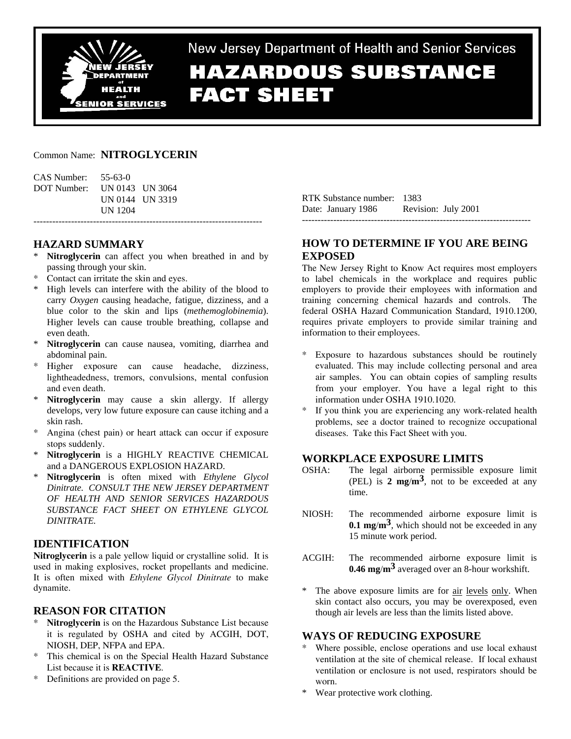

# New Jersey Department of Health and Senior Services **HAZARDOUS SUBSTANCE FACT SHEET**

### Common Name: **NITROGLYCERIN**

| CAS Number: | $55 - 63 - 0$   |  |
|-------------|-----------------|--|
| DOT Number: | UN 0143 UN 3064 |  |
|             | UN 0144 UN 3319 |  |
|             | UN 1204         |  |

## **HAZARD SUMMARY**

Nitroglycerin can affect you when breathed in and by passing through your skin.

-------------------------------------------------------------------------

- \* Contact can irritate the skin and eyes.
- High levels can interfere with the ability of the blood to carry *Oxygen* causing headache, fatigue, dizziness, and a blue color to the skin and lips (*methemoglobinemia*). Higher levels can cause trouble breathing, collapse and even death.
- Nitroglycerin can cause nausea, vomiting, diarrhea and abdominal pain.
- \* Higher exposure can cause headache, dizziness, lightheadedness, tremors, convulsions, mental confusion and even death.
- Nitroglycerin may cause a skin allergy. If allergy develops, very low future exposure can cause itching and a skin rash.
- Angina (chest pain) or heart attack can occur if exposure stops suddenly.
- \* **Nitroglycerin** is a HIGHLY REACTIVE CHEMICAL and a DANGEROUS EXPLOSION HAZARD.
- \* **Nitroglycerin** is often mixed with *Ethylene Glycol Dinitrate. CONSULT THE NEW JERSEY DEPARTMENT OF HEALTH AND SENIOR SERVICES HAZARDOUS SUBSTANCE FACT SHEET ON ETHYLENE GLYCOL DINITRATE.*

## **IDENTIFICATION**

**Nitroglycerin** is a pale yellow liquid or crystalline solid. It is used in making explosives, rocket propellants and medicine. It is often mixed with *Ethylene Glycol Dinitrate* to make dynamite.

## **REASON FOR CITATION**

- **Nitroglycerin** is on the Hazardous Substance List because it is regulated by OSHA and cited by ACGIH, DOT, NIOSH, DEP, NFPA and EPA.
- \* This chemical is on the Special Health Hazard Substance List because it is **REACTIVE**.
- \* Definitions are provided on page 5.

RTK Substance number: 1383 Date: January 1986 Revision: July 2001 -------------------------------------------------------------------------

## **HOW TO DETERMINE IF YOU ARE BEING EXPOSED**

The New Jersey Right to Know Act requires most employers to label chemicals in the workplace and requires public employers to provide their employees with information and training concerning chemical hazards and controls. The federal OSHA Hazard Communication Standard, 1910.1200, requires private employers to provide similar training and information to their employees.

- Exposure to hazardous substances should be routinely evaluated. This may include collecting personal and area air samples. You can obtain copies of sampling results from your employer. You have a legal right to this information under OSHA 1910.1020.
- If you think you are experiencing any work-related health problems, see a doctor trained to recognize occupational diseases. Take this Fact Sheet with you.

## **WORKPLACE EXPOSURE LIMITS**

- OSHA: The legal airborne permissible exposure limit (PEL) is **2 mg**/**m3**, not to be exceeded at any time.
- NIOSH: The recommended airborne exposure limit is **0.1 mg**/**m3**, which should not be exceeded in any 15 minute work period.
- ACGIH: The recommended airborne exposure limit is **0.46 mg**/**m3** averaged over an 8-hour workshift.
- \* The above exposure limits are for air levels only. When skin contact also occurs, you may be overexposed, even though air levels are less than the limits listed above.

#### **WAYS OF REDUCING EXPOSURE**

- Where possible, enclose operations and use local exhaust ventilation at the site of chemical release. If local exhaust ventilation or enclosure is not used, respirators should be worn.
- Wear protective work clothing.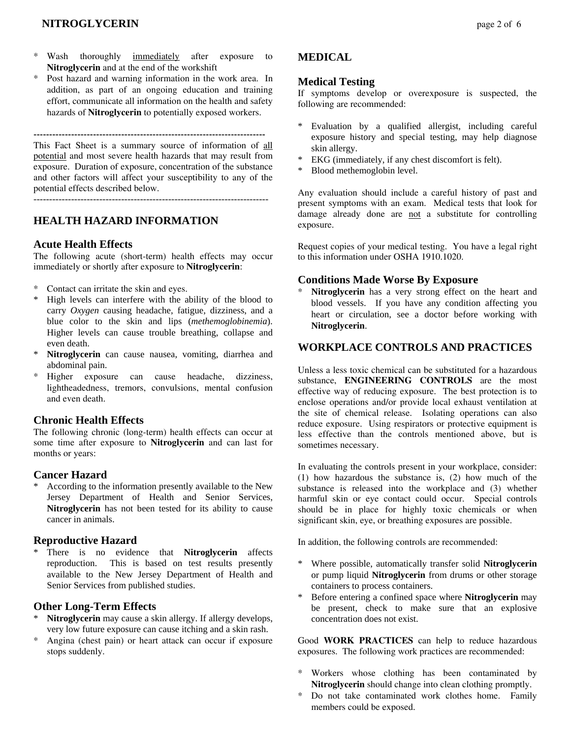## **NITROGLYCERIN** page 2 of 6

- \* Wash thoroughly immediately after exposure to **Nitroglycerin** and at the end of the workshift
- \* Post hazard and warning information in the work area. In addition, as part of an ongoing education and training effort, communicate all information on the health and safety hazards of **Nitroglycerin** to potentially exposed workers.

--------------------------------------------------------------------------

This Fact Sheet is a summary source of information of all potential and most severe health hazards that may result from exposure. Duration of exposure, concentration of the substance and other factors will affect your susceptibility to any of the potential effects described below.

---------------------------------------------------------------------------

## **HEALTH HAZARD INFORMATION**

#### **Acute Health Effects**

The following acute (short-term) health effects may occur immediately or shortly after exposure to **Nitroglycerin**:

- Contact can irritate the skin and eyes.
- High levels can interfere with the ability of the blood to carry *Oxygen* causing headache, fatigue, dizziness, and a blue color to the skin and lips (*methemoglobinemia*). Higher levels can cause trouble breathing, collapse and even death.
- Nitroglycerin can cause nausea, vomiting, diarrhea and abdominal pain.
- \* Higher exposure can cause headache, dizziness, lightheadedness, tremors, convulsions, mental confusion and even death.

### **Chronic Health Effects**

The following chronic (long-term) health effects can occur at some time after exposure to **Nitroglycerin** and can last for months or years:

#### **Cancer Hazard**

According to the information presently available to the New Jersey Department of Health and Senior Services, **Nitroglycerin** has not been tested for its ability to cause cancer in animals.

#### **Reproductive Hazard**

There is no evidence that **Nitroglycerin** affects reproduction. This is based on test results presently available to the New Jersey Department of Health and Senior Services from published studies.

#### **Other Long-Term Effects**

- Nitroglycerin may cause a skin allergy. If allergy develops, very low future exposure can cause itching and a skin rash.
- \* Angina (chest pain) or heart attack can occur if exposure stops suddenly.

## **MEDICAL**

#### **Medical Testing**

If symptoms develop or overexposure is suspected, the following are recommended:

- \* Evaluation by a qualified allergist, including careful exposure history and special testing, may help diagnose skin allergy.
- \* EKG (immediately, if any chest discomfort is felt).
- \* Blood methemoglobin level.

Any evaluation should include a careful history of past and present symptoms with an exam. Medical tests that look for damage already done are not a substitute for controlling exposure.

Request copies of your medical testing. You have a legal right to this information under OSHA 1910.1020.

## **Conditions Made Worse By Exposure**

Nitroglycerin has a very strong effect on the heart and blood vessels. If you have any condition affecting you heart or circulation, see a doctor before working with **Nitroglycerin**.

### **WORKPLACE CONTROLS AND PRACTICES**

Unless a less toxic chemical can be substituted for a hazardous substance, **ENGINEERING CONTROLS** are the most effective way of reducing exposure. The best protection is to enclose operations and/or provide local exhaust ventilation at the site of chemical release. Isolating operations can also reduce exposure. Using respirators or protective equipment is less effective than the controls mentioned above, but is sometimes necessary.

In evaluating the controls present in your workplace, consider: (1) how hazardous the substance is, (2) how much of the substance is released into the workplace and (3) whether harmful skin or eye contact could occur. Special controls should be in place for highly toxic chemicals or when significant skin, eye, or breathing exposures are possible.

In addition, the following controls are recommended:

- \* Where possible, automatically transfer solid **Nitroglycerin** or pump liquid **Nitroglycerin** from drums or other storage containers to process containers.
- \* Before entering a confined space where **Nitroglycerin** may be present, check to make sure that an explosive concentration does not exist.

Good **WORK PRACTICES** can help to reduce hazardous exposures. The following work practices are recommended:

- \* Workers whose clothing has been contaminated by **Nitroglycerin** should change into clean clothing promptly.
- \* Do not take contaminated work clothes home. Family members could be exposed.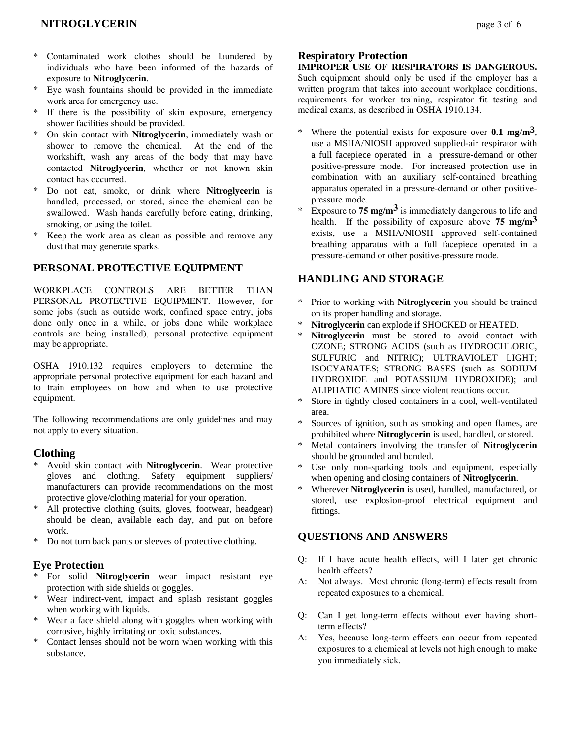## **NITROGLYCERIN** page 3 of 6

- Contaminated work clothes should be laundered by individuals who have been informed of the hazards of exposure to **Nitroglycerin**.
- Eye wash fountains should be provided in the immediate work area for emergency use.
- \* If there is the possibility of skin exposure, emergency shower facilities should be provided.
- \* On skin contact with **Nitroglycerin**, immediately wash or shower to remove the chemical. At the end of the workshift, wash any areas of the body that may have contacted **Nitroglycerin**, whether or not known skin contact has occurred.
- Do not eat, smoke, or drink where **Nitroglycerin** is handled, processed, or stored, since the chemical can be swallowed. Wash hands carefully before eating, drinking, smoking, or using the toilet.
- Keep the work area as clean as possible and remove any dust that may generate sparks.

#### **PERSONAL PROTECTIVE EQUIPMENT**

WORKPLACE CONTROLS ARE BETTER THAN PERSONAL PROTECTIVE EQUIPMENT. However, for some jobs (such as outside work, confined space entry, jobs done only once in a while, or jobs done while workplace controls are being installed), personal protective equipment may be appropriate.

OSHA 1910.132 requires employers to determine the appropriate personal protective equipment for each hazard and to train employees on how and when to use protective equipment.

The following recommendations are only guidelines and may not apply to every situation.

#### **Clothing**

- \* Avoid skin contact with **Nitroglycerin**. Wear protective gloves and clothing. Safety equipment suppliers/ manufacturers can provide recommendations on the most protective glove/clothing material for your operation.
- \* All protective clothing (suits, gloves, footwear, headgear) should be clean, available each day, and put on before work.
- \* Do not turn back pants or sleeves of protective clothing.

#### **Eye Protection**

- \* For solid **Nitroglycerin** wear impact resistant eye protection with side shields or goggles.
- \* Wear indirect-vent, impact and splash resistant goggles when working with liquids.
- Wear a face shield along with goggles when working with corrosive, highly irritating or toxic substances.
- \* Contact lenses should not be worn when working with this substance.

#### **Respiratory Protection**

**IMPROPER USE OF RESPIRATORS IS DANGEROUS.** Such equipment should only be used if the employer has a written program that takes into account workplace conditions, requirements for worker training, respirator fit testing and medical exams, as described in OSHA 1910.134.

- Where the potential exists for exposure over  $0.1 \text{ mg/m}^3$ , use a MSHA/NIOSH approved supplied-air respirator with a full facepiece operated in a pressure-demand or other positive-pressure mode. For increased protection use in combination with an auxiliary self-contained breathing apparatus operated in a pressure-demand or other positivepressure mode.
- Exposure to **75 mg/m<sup>3</sup>** is immediately dangerous to life and health. If the possibility of exposure above **75 mg**/**m3** exists, use a MSHA/NIOSH approved self-contained breathing apparatus with a full facepiece operated in a pressure-demand or other positive-pressure mode.

### **HANDLING AND STORAGE**

- \* Prior to working with **Nitroglycerin** you should be trained on its proper handling and storage.
- Nitroglycerin can explode if SHOCKED or HEATED.
- Nitroglycerin must be stored to avoid contact with OZONE; STRONG ACIDS (such as HYDROCHLORIC, SULFURIC and NITRIC); ULTRAVIOLET LIGHT; ISOCYANATES; STRONG BASES (such as SODIUM HYDROXIDE and POTASSIUM HYDROXIDE); and ALIPHATIC AMINES since violent reactions occur.
- Store in tightly closed containers in a cool, well-ventilated area.
- Sources of ignition, such as smoking and open flames, are prohibited where **Nitroglycerin** is used, handled, or stored.
- Metal containers involving the transfer of **Nitroglycerin** should be grounded and bonded.
- \* Use only non-sparking tools and equipment, especially when opening and closing containers of **Nitroglycerin**.
- Wherever **Nitroglycerin** is used, handled, manufactured, or stored, use explosion-proof electrical equipment and fittings.

## **QUESTIONS AND ANSWERS**

- Q: If I have acute health effects, will I later get chronic health effects?
- A: Not always. Most chronic (long-term) effects result from repeated exposures to a chemical.
- Q: Can I get long-term effects without ever having shortterm effects?
- A: Yes, because long-term effects can occur from repeated exposures to a chemical at levels not high enough to make you immediately sick.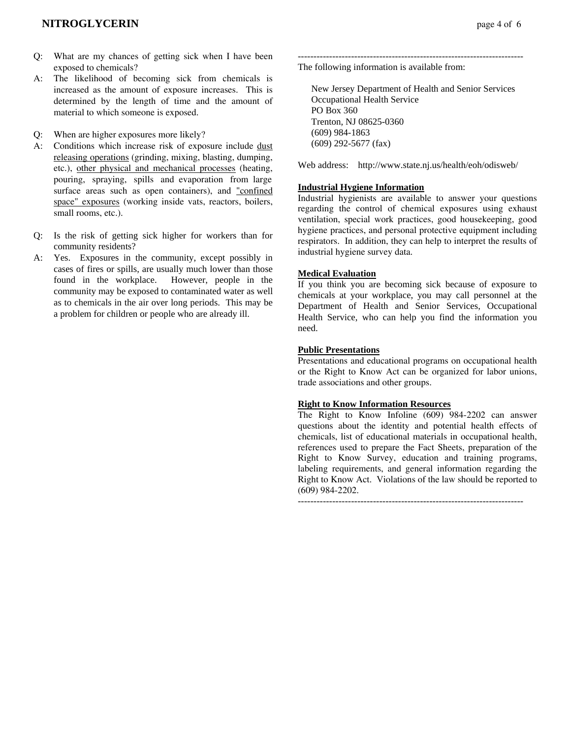- Q: What are my chances of getting sick when I have been exposed to chemicals?
- A: The likelihood of becoming sick from chemicals is increased as the amount of exposure increases. This is determined by the length of time and the amount of material to which someone is exposed.
- Q: When are higher exposures more likely?
- A: Conditions which increase risk of exposure include dust releasing operations (grinding, mixing, blasting, dumping, etc.), other physical and mechanical processes (heating, pouring, spraying, spills and evaporation from large surface areas such as open containers), and "confined space" exposures (working inside vats, reactors, boilers, small rooms, etc.).
- Q: Is the risk of getting sick higher for workers than for community residents?
- A: Yes. Exposures in the community, except possibly in cases of fires or spills, are usually much lower than those found in the workplace. However, people in the community may be exposed to contaminated water as well as to chemicals in the air over long periods. This may be a problem for children or people who are already ill.

------------------------------------------------------------------------ The following information is available from:

 New Jersey Department of Health and Senior Services Occupational Health Service PO Box 360 Trenton, NJ 08625-0360 (609) 984-1863 (609) 292-5677 (fax)

Web address: http://www.state.nj.us/health/eoh/odisweb/

#### **Industrial Hygiene Information**

Industrial hygienists are available to answer your questions regarding the control of chemical exposures using exhaust ventilation, special work practices, good housekeeping, good hygiene practices, and personal protective equipment including respirators. In addition, they can help to interpret the results of industrial hygiene survey data.

#### **Medical Evaluation**

If you think you are becoming sick because of exposure to chemicals at your workplace, you may call personnel at the Department of Health and Senior Services, Occupational Health Service, who can help you find the information you need.

#### **Public Presentations**

Presentations and educational programs on occupational health or the Right to Know Act can be organized for labor unions, trade associations and other groups.

#### **Right to Know Information Resources**

The Right to Know Infoline (609) 984-2202 can answer questions about the identity and potential health effects of chemicals, list of educational materials in occupational health, references used to prepare the Fact Sheets, preparation of the Right to Know Survey, education and training programs, labeling requirements, and general information regarding the Right to Know Act. Violations of the law should be reported to (609) 984-2202.

------------------------------------------------------------------------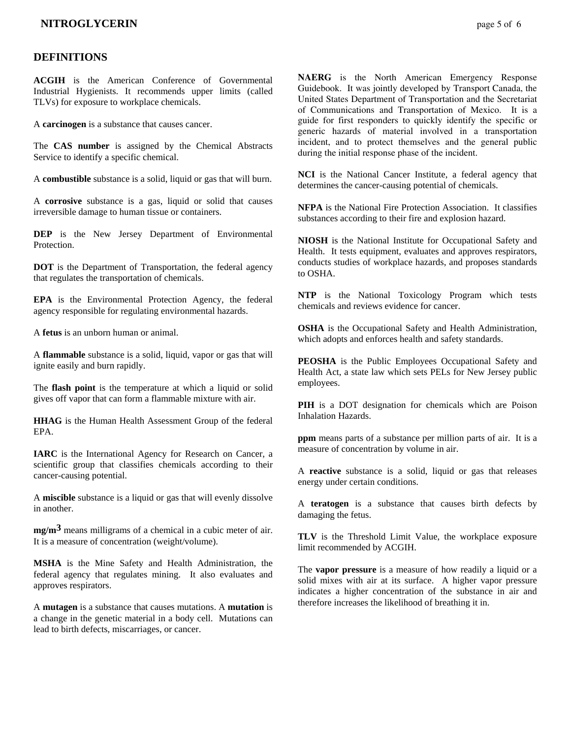#### **DEFINITIONS**

**ACGIH** is the American Conference of Governmental Industrial Hygienists. It recommends upper limits (called TLVs) for exposure to workplace chemicals.

A **carcinogen** is a substance that causes cancer.

The **CAS number** is assigned by the Chemical Abstracts Service to identify a specific chemical.

A **combustible** substance is a solid, liquid or gas that will burn.

A **corrosive** substance is a gas, liquid or solid that causes irreversible damage to human tissue or containers.

**DEP** is the New Jersey Department of Environmental **Protection** 

**DOT** is the Department of Transportation, the federal agency that regulates the transportation of chemicals.

**EPA** is the Environmental Protection Agency, the federal agency responsible for regulating environmental hazards.

A **fetus** is an unborn human or animal.

A **flammable** substance is a solid, liquid, vapor or gas that will ignite easily and burn rapidly.

The **flash point** is the temperature at which a liquid or solid gives off vapor that can form a flammable mixture with air.

**HHAG** is the Human Health Assessment Group of the federal EPA.

**IARC** is the International Agency for Research on Cancer, a scientific group that classifies chemicals according to their cancer-causing potential.

A **miscible** substance is a liquid or gas that will evenly dissolve in another.

**mg/m3** means milligrams of a chemical in a cubic meter of air. It is a measure of concentration (weight/volume).

**MSHA** is the Mine Safety and Health Administration, the federal agency that regulates mining. It also evaluates and approves respirators.

A **mutagen** is a substance that causes mutations. A **mutation** is a change in the genetic material in a body cell. Mutations can lead to birth defects, miscarriages, or cancer.

**NAERG** is the North American Emergency Response Guidebook. It was jointly developed by Transport Canada, the United States Department of Transportation and the Secretariat of Communications and Transportation of Mexico. It is a guide for first responders to quickly identify the specific or generic hazards of material involved in a transportation incident, and to protect themselves and the general public during the initial response phase of the incident.

**NCI** is the National Cancer Institute, a federal agency that determines the cancer-causing potential of chemicals.

**NFPA** is the National Fire Protection Association. It classifies substances according to their fire and explosion hazard.

**NIOSH** is the National Institute for Occupational Safety and Health. It tests equipment, evaluates and approves respirators, conducts studies of workplace hazards, and proposes standards to OSHA.

**NTP** is the National Toxicology Program which tests chemicals and reviews evidence for cancer.

**OSHA** is the Occupational Safety and Health Administration, which adopts and enforces health and safety standards.

**PEOSHA** is the Public Employees Occupational Safety and Health Act, a state law which sets PELs for New Jersey public employees.

**PIH** is a DOT designation for chemicals which are Poison Inhalation Hazards.

**ppm** means parts of a substance per million parts of air. It is a measure of concentration by volume in air.

A **reactive** substance is a solid, liquid or gas that releases energy under certain conditions.

A **teratogen** is a substance that causes birth defects by damaging the fetus.

**TLV** is the Threshold Limit Value, the workplace exposure limit recommended by ACGIH.

The **vapor pressure** is a measure of how readily a liquid or a solid mixes with air at its surface. A higher vapor pressure indicates a higher concentration of the substance in air and therefore increases the likelihood of breathing it in.